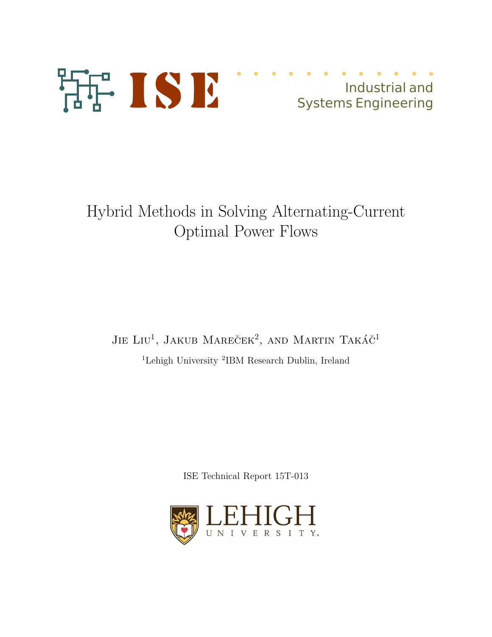

# Industrial and Systems Engineering

Hybrid Methods in Solving Alternating-Current Optimal Power Flows

JIE LIU<sup>1</sup>, JAKUB MAREČEK<sup>2</sup>, AND MARTIN TAKÁČ<sup>1</sup> <sup>1</sup>Lehigh University <sup>2</sup>IBM Research Dublin, Ireland

ISE Technical Report 15T-013

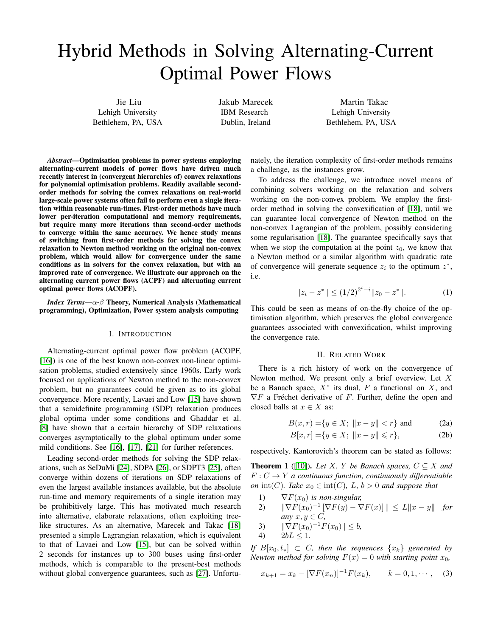# Hybrid Methods in Solving Alternating-Current Optimal Power Flows

Jie Liu Lehigh University Bethlehem, PA, USA Jakub Marecek IBM Research Dublin, Ireland

Martin Takac Lehigh University Bethlehem, PA, USA

*Abstract*—Optimisation problems in power systems employing alternating-current models of power flows have driven much recently interest in (convergent hierarchies of) convex relaxations for polynomial optimisation problems. Readily available secondorder methods for solving the convex relaxations on real-world large-scale power systems often fail to perform even a single iteration within reasonable run-times. First-order methods have much lower per-iteration computational and memory requirements, but require many more iterations than second-order methods to converge within the same accuracy. We hence study means of switching from first-order methods for solving the convex relaxation to Newton method working on the original non-convex problem, which would allow for convergence under the same conditions as in solvers for the convex relaxation, but with an improved rate of convergence. We illustrate our approach on the alternating current power flows (ACPF) and alternating current optimal power flows (ACOPF).

*Index Terms*—α-β Theory, Numerical Analysis (Mathematical programming), Optimization, Power system analysis computing

#### I. INTRODUCTION

Alternating-current optimal power flow problem (ACOPF, [16]) is one of the best known non-convex non-linear optimisation problems, studied extensively since 1960s. Early work focused on applications of Newton method to the non-convex problem, but no guarantees could be given as to its global convergence. More recently, Lavaei and Low [15] have shown that a semidefinite programming (SDP) relaxation produces global optima under some conditions and Ghaddar et al. [8] have shown that a certain hierarchy of SDP relaxations converges asymptotically to the global optimum under some mild conditions. See [16], [17], [21] for further references.

Leading second-order methods for solving the SDP relaxations, such as SeDuMi [24], SDPA [26], or SDPT3 [25], often converge within dozens of iterations on SDP relaxations of even the largest available instances available, but the absolute run-time and memory requirements of a single iteration may be prohibitively large. This has motivated much research into alternative, elaborate relaxations, often exploiting treelike structures. As an alternative, Marecek and Takac [18] presented a simple Lagrangian relaxation, which is equivalent to that of Lavaei and Low [15], but can be solved within 2 seconds for instances up to 300 buses using first-order methods, which is comparable to the present-best methods without global convergence guarantees, such as [27]. Unfortunately, the iteration complexity of first-order methods remains a challenge, as the instances grow.

To address the challenge, we introduce novel means of combining solvers working on the relaxation and solvers working on the non-convex problem. We employ the firstorder method in solving the convexification of [18], until we can guarantee local convergence of Newton method on the non-convex Lagrangian of the problem, possibly considering some regularisation [18]. The guarantee specifically says that when we stop the computation at the point  $z_0$ , we know that a Newton method or a similar algorithm with quadratic rate of convergence will generate sequence  $z_i$  to the optimum  $z^*$ , i.e.

$$
||z_i - z^*|| \le (1/2)^{2^i - i} ||z_0 - z^*||. \tag{1}
$$

This could be seen as means of on-the-fly choice of the optimisation algorithm, which preserves the global convergence guarantees associated with convexification, whilst improving the convergence rate.

#### II. RELATED WORK

There is a rich history of work on the convergence of Newton method. We present only a brief overview. Let  $X$ be a Banach space,  $X^*$  its dual,  $F$  a functional on  $X$ , and  $\nabla F$  a Fréchet derivative of F. Further, define the open and closed balls at  $x \in X$  as:

$$
B(x,r) = \{ y \in X; \|x - y\| < r \} \text{ and} \tag{2a}
$$

$$
B[x,r] = \{ y \in X; \ \|x - y\| \leq r \},
$$
 (2b)

respectively. Kantorovich's theorem can be stated as follows:

**Theorem 1** ([10]). Let X, Y be Banach spaces,  $C \subseteq X$  and  $F: C \to Y$  *a continuous function, continuously differentiable on* int(*C*)*.* Take  $x_0 \in \text{int}(C)$ ,  $L, b > 0$  and suppose that

- 1)  $\nabla F(x_0)$  *is non-singular,*
- 2)  $\|\nabla F(x_0)^{-1} \left[\nabla F(y) \nabla F(x)\right]\| \leq L\|x y\|$  *for any*  $x, y \in C$ ,

3) 
$$
\|\nabla F(x_0)^{-1} F(x_0)\| \leq b, \n4) \quad 2bL \leq 1.
$$

*If*  $B[x_0, t_*] \subset C$ *, then the sequences*  $\{x_k\}$  *generated by Newton method for solving*  $F(x) = 0$  *with starting point*  $x_0$ *,* 

$$
x_{k+1} = x_k - [\nabla F(x_n)]^{-1} F(x_k), \qquad k = 0, 1, \cdots,
$$
 (3)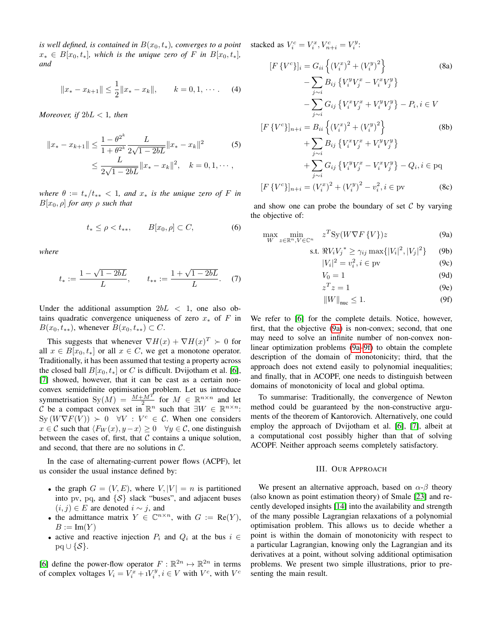*is well defined, is contained in*  $B(x_0, t_*)$ *, converges to a point*  $x_* \in B[x_0, t_*]$ , which is the unique zero of F in  $B[x_0, t_*]$ , *and*

$$
||x_{*} - x_{k+1}|| \leq \frac{1}{2}||x_{*} - x_{k}||, \qquad k = 0, 1, \cdots.
$$
 (4)

*Moreover, if* 2bL < 1*, then*

$$
||x_{*} - x_{k+1}|| \le \frac{1 - \theta^{2^{k}}}{1 + \theta^{2^{k}}} \frac{L}{2\sqrt{1 - 2bL}} ||x_{*} - x_{k}||^{2}
$$
(5)  

$$
\le \frac{L}{2\sqrt{1 - 2bL}} ||x_{*} - x_{k}||^{2}, \quad k = 0, 1, \cdots,
$$

*where*  $\theta := t_*/t_{**} < 1$ *, and*  $x_*$  *is the unique zero of* F *in*  $B[x_0, \rho]$  *for any*  $\rho$  *such that* 

$$
t_* \le \rho < t_{**}, \qquad B[x_0, \rho] \subset C,\tag{6}
$$

*where*

$$
t_* := \frac{1 - \sqrt{1 - 2bL}}{L}, \qquad t_{**} := \frac{1 + \sqrt{1 - 2bL}}{L}.
$$
 (7)

Under the additional assumption  $2bL < 1$ , one also obtains quadratic convergence uniqueness of zero  $x_*$  of F in  $B(x_0, t_{**})$ , whenever  $B(x_0, t_{**}) \subset C$ .

This suggests that whenever  $\nabla H(x) + \nabla H(x)^T \succ 0$  for all  $x \in B[x_0, t_*]$  or all  $x \in C$ , we get a monotone operator. Traditionally, it has been assumed that testing a property across the closed ball  $B[x_0, t_*]$  or C is difficult. Dvijotham et al. [6], [7] showed, however, that it can be cast as a certain nonconvex semidefinite optimisation problem. Let us introduce symmetrisation  $\text{Sy}(M) = \frac{M + M^T}{2}$  for  $M \in \mathbb{R}^{n \times n}$  and let C be a compact convex set in  $\mathbb{R}^n$  such that  $\exists W \in \mathbb{R}^{n \times n}$ :  $Sy(W\nabla F(V)) \succ 0 \quad \forall V : V^c \in \mathcal{C}$ . When one considers  $x \in \mathcal{C}$  such that  $\langle F_W(x), y-x \rangle \ge 0 \quad \forall y \in \mathcal{C}$ , one distinguish between the cases of, first, that  $C$  contains a unique solution, and second, that there are no solutions in  $C$ .

In the case of alternating-current power flows (ACPF), let us consider the usual instance defined by:

- the graph  $G = (V, E)$ , where  $V, |V| = n$  is partitioned into pv, pq, and  $\{S\}$  slack "buses", and adjacent buses  $(i, j) \in E$  are denoted  $i \sim j$ , and
- the admittance matrix  $Y \in \mathbb{C}^{n \times n}$ , with  $G := \text{Re}(Y)$ ,  $B := \text{Im}(Y)$
- active and reactive injection  $P_i$  and  $Q_i$  at the bus  $i \in$  $pq \cup \{S\}.$

[6] define the power-flow operator  $F: \mathbb{R}^{2n} \mapsto \mathbb{R}^{2n}$  in terms of complex voltages  $V_i = V_i^x + iV_j^y, i \in V$  with  $V^c$ , with  $V^c$ 

stacked as  $V_i^c = V_i^x, V_{n+i}^c = V_i^y$ :

$$
[F\{V^{c}\}]_{i} = G_{ii} \left\{ (V_{i}^{x})^{2} + (V_{i}^{y})^{2} \right\}
$$
(8a)  

$$
- \sum_{j \sim i} B_{ij} \left\{ V_{i}^{y} V_{j}^{x} - V_{i}^{x} V_{j}^{y} \right\}
$$

$$
- \sum_{j \sim i} G_{ij} \left\{ V_{i}^{x} V_{j}^{x} + V_{i}^{y} V_{j}^{y} \right\} - P_{i}, i \in V
$$

$$
[F\{V^{c}\}]_{n+i} = B_{ii} \left\{ (V_{i}^{x})^{2} + (V_{i}^{y})^{2} \right\}
$$
(8b)  

$$
+ \sum_{j \sim i} B_{ij} \left\{ V_{i}^{x} V_{j}^{x} + V_{i}^{y} V_{j}^{y} \right\}
$$

$$
+ \sum_{j \sim i} G_{ij} \left\{ V_{i}^{y} V_{j}^{x} - V_{i}^{x} V_{j}^{y} \right\} - Q_{i}, i \in \text{pq}
$$

$$
[F\{V^{c}\}]_{n+i} = (V_{i}^{x})^{2} + (V_{i}^{y})^{2} - v_{i}^{2}, i \in \text{pv}
$$
(8c)

and show one can probe the boundary of set  $\mathcal C$  by varying the objective of:

$$
\max_{W} \min_{z \in \mathbb{R}^n, V \in \mathbb{C}^n} z^T S y (W \nabla F \{V\}) z
$$
\n(9a)

s.t. 
$$
\Re V_i V_j^* \ge \gamma_{ij} \max\{|V_i|^2, |V_j|^2\}
$$
 (9b)

$$
|V_i|^2 = v_i^2, i \in \text{pv}
$$
 (9c)

$$
V_0 = 1
$$
 (9d)  

$$
r^T r - 1
$$
 (9e)

$$
z^T z = 1 \tag{9e}
$$

$$
||W||_{\text{nuc}} \le 1. \tag{9f}
$$

We refer to [6] for the complete details. Notice, however, first, that the objective (9a) is non-convex; second, that one may need to solve an infinite number of non-convex nonlinear optimization problems (9a–9f) to obtain the complete description of the domain of monotonicity; third, that the approach does not extend easily to polynomial inequalities; and finally, that in ACOPF, one needs to distinguish between domains of monotonicity of local and global optima.

To summarise: Traditionally, the convergence of Newton method could be guaranteed by the non-constructive arguments of the theorem of Kantorovich. Alternatively, one could employ the approach of Dvijotham et al. [6], [7], albeit at a computational cost possibly higher than that of solving ACOPF. Neither approach seems completely satisfactory.

#### III. OUR APPROACH

We present an alternative approach, based on  $\alpha$ - $\beta$  theory (also known as point estimation theory) of Smale [23] and recently developed insights [14] into the availability and strength of the many possible Lagrangian relaxations of a polynomial optimisation problem. This allows us to decide whether a point is within the domain of monotonicity with respect to a particular Lagrangian, knowing only the Lagrangian and its derivatives at a point, without solving additional optimisation problems. We present two simple illustrations, prior to presenting the main result.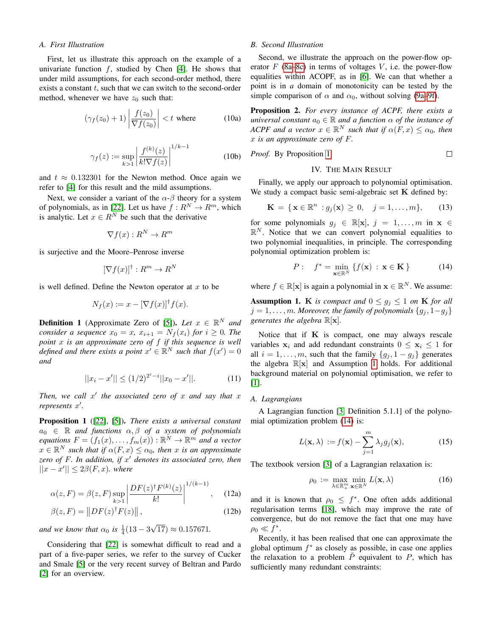#### *A. First Illustration*

First, let us illustrate this approach on the example of a univariate function  $f$ , studied by Chen [4]. He shows that under mild assumptions, for each second-order method, there exists a constant  $t$ , such that we can switch to the second-order method, whenever we have  $z_0$  such that:

$$
(\gamma_f(z_0) + 1) \left| \frac{f(z_0)}{\nabla f(z_0)} \right| < t \text{ where } (10a)
$$

$$
\gamma_f(z) := \sup_{k>1} \left| \frac{f^{(k)}(z)}{k! \nabla f(z)} \right|^{1/k-1}
$$
 (10b)

and  $t \approx 0.132301$  for the Newton method. Once again we refer to [4] for this result and the mild assumptions.

Next, we consider a variant of the  $\alpha$ - $\beta$  theory for a system of polynomials, as in [22]. Let us have  $f: \mathbb{R}^N \to \mathbb{R}^m$ , which is analytic. Let  $x \in R^N$  be such that the derivative

$$
\nabla f(x) : R^N \to R^m
$$

is surjective and the Moore–Penrose inverse

$$
[\nabla f(x)]^{\dagger}: R^m \to R^N
$$

is well defined. Define the Newton operator at  $x$  to be

$$
N_f(x) := x - [\nabla f(x)]^\dagger f(x).
$$

**Definition 1** (Approximate Zero of [5]). *Let*  $x \in \mathbb{R}^N$  *and consider a sequence*  $x_0 = x$ ,  $x_{i+1} = N_f(x_i)$  *for*  $i \geq 0$ *. The point* x *is an approximate zero of* f *if this sequence is well defined and there exists a point*  $x' \in \mathbb{R}^N$  *such that*  $f(x') = 0$ *and*

$$
||x_i - x'|| \le (1/2)^{2^i - i} ||x_0 - x'||. \tag{11}
$$

*Then, we call x' the associated zero of x and say that x represents* x 0 *.*

Proposition 1 ([22], [5]). *There exists a universal constant*  $a_0 \in \mathbb{R}$  *and functions*  $\alpha, \beta$  *of a system of polynomials equations*  $F = (f_1(x), \ldots, f_m(x)) : \mathbb{R}^N \to \mathbb{R}^m$  *and a vector*  $x \in \mathbb{R}^N$  such that if  $\alpha(F, x) \leq \alpha_0$ , then x is an approximate *zero of* F*. In addition, if* x <sup>0</sup> *denotes its associated zero, then*  $||x - x'|| \leq 2\beta(F, x)$ *. where* 

$$
\alpha(z, F) = \beta(z, F) \sup_{k>1} \left| \frac{DF(z)^{\dagger} F^{(k)}(z)}{k!} \right|^{1/(k-1)}, \quad (12a)
$$

$$
\beta(z, F) = ||DF(z)^{\dagger} F(z)||,
$$
\n(12b)

*and we know that*  $\alpha_0$  *is*  $\frac{1}{4}(13-3)$ √  $(17) \approx 0.157671.$ 

Considering that [22] is somewhat difficult to read and a part of a five-paper series, we refer to the survey of Cucker and Smale [5] or the very recent survey of Beltran and Pardo [2] for an overview.

### *B. Second Illustration*

Second, we illustrate the approach on the power-flow operator  $F$  (8a–8c) in terms of voltages  $V$ , i.e. the power-flow equalities within ACOPF, as in [6]. We can that whether a point is in *a* domain of monotonicity can be tested by the simple comparison of  $\alpha$  and  $\alpha_0$ , without solving (9a–9f).

Proposition 2. *For every instance of ACPF, there exists a universal constant*  $a_0 \in \mathbb{R}$  *and a function*  $\alpha$  *of the instance of ACPF and a vector*  $x \in \mathbb{R}^N$  *such that if*  $\alpha(F, x) \leq \alpha_0$ *, then* x *is an approximate zero of* F*.*

*Proof.* By Proposition 1. 
$$
\Box
$$

#### IV. THE MAIN RESULT

Finally, we apply our approach to polynomial optimisation. We study a compact basic semi-algebraic set  $K$  defined by:

$$
\mathbf{K} = \{ \mathbf{x} \in \mathbb{R}^n : g_j(\mathbf{x}) \ge 0, \quad j = 1, \dots, m \}, \qquad (13)
$$

for some polynomials  $g_j \in \mathbb{R}[\mathbf{x}], j = 1, \dots, m$  in  $\mathbf{x} \in$  $\mathbb{R}^N$ . Notice that we can convert polynomial equalities to two polynomial inequalities, in principle. The corresponding polynomial optimization problem is:

$$
P: \quad f^* = \min_{\mathbf{x} \in \mathbb{R}^N} \{ f(\mathbf{x}) : \mathbf{x} \in \mathbf{K} \}
$$
 (14)

where  $f \in \mathbb{R}[\mathbf{x}]$  is again a polynomial in  $\mathbf{x} \in \mathbb{R}^N$ . We assume:

**Assumption 1.** K *is compact and*  $0 \leq g_i \leq 1$  *on* K *for all*  $j = 1, \ldots, m$ *. Moreover, the family of polynomials*  $\{g_i, 1 - g_i\}$ *generates the algebra* R[x]*.*

Notice that if  $K$  is compact, one may always rescale variables  $x_i$  and add redundant constraints  $0 \le x_i \le 1$  for all  $i = 1, \ldots, m$ , such that the family  $\{g_i, 1 - g_i\}$  generates the algebra  $\mathbb{R}[\mathbf{x}]$  and Assumption 1 holds. For additional background material on polynomial optimisation, we refer to [1].

#### *A. Lagrangians*

A Lagrangian function [3, Definition 5.1.1] of the polynomial optimization problem (14) is:

$$
L(\mathbf{x}, \lambda) := f(\mathbf{x}) - \sum_{j=1}^{m} \lambda_j g_j(\mathbf{x}), \qquad (15)
$$

The textbook version [3] of a Lagrangian relaxation is:

$$
\rho_0 := \max_{\lambda \in \mathbb{R}_+^m} \min_{\mathbf{x} \in \mathbb{R}^N} L(\mathbf{x}, \lambda)
$$
 (16)

and it is known that  $\rho_0 \leq f^*$ . One often adds additional regularisation terms [18], which may improve the rate of convergence, but do not remove the fact that one may have  $\rho_0 \ll f^*$ .

Recently, it has been realised that one can approximate the global optimum  $f^*$  as closely as possible, in case one applies the relaxation to a problem  $\tilde{P}$  equivalent to P, which has sufficiently many redundant constraints: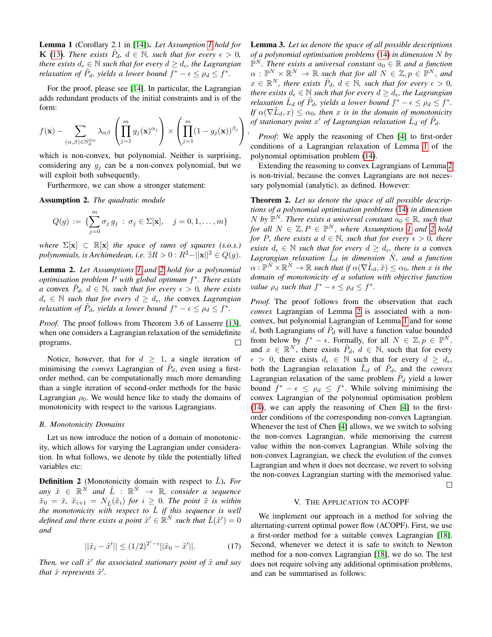Lemma 1 (Corollary 2.1 in [14]). *Let Assumption 1 hold for* **K** (13). There exists  $\tilde{P}_d$ ,  $d \in \mathbb{N}$ , such that for every  $\epsilon > 0$ , *there exists*  $d_{\epsilon} \in \mathbb{N}$  *such that for every*  $d \geq d_{\epsilon}$ *, the Lagrangian relaxation of*  $\tilde{P}_d$ , yields a lower bound  $f^* - \epsilon \le \rho_d \le f^*$ .

For the proof, please see [14]. In particular, the Lagrangian adds redundant products of the initial constraints and is of the form:

$$
f(\mathbf{x}) - \sum_{(\alpha,\beta)\in\mathbb{N}_d^{2m}} \lambda_{\alpha\beta} \left( \prod_{j=1}^m g_j(\mathbf{x})^{\alpha_j} \right) \times \left( \prod_{j=1}^m (1 - g_j(\mathbf{x}))^{\beta_j} \right),
$$

which is non-convex, but polynomial. Neither is surprising, considering any  $q_i$  can be a non-convex polynomial, but we will exploit both subsequently.

Furthermore, we can show a stronger statement:

Assumption 2. *The quadratic module*

$$
Q(g) := \{ \sum_{j=0}^{m} \sigma_j g_j : \sigma_j \in \Sigma[\mathbf{x}], \quad j = 0, 1, ..., m \}
$$

*where*  $\Sigma[\mathbf{x}] \subset \mathbb{R}[\mathbf{x}]$  *the space of sums of squares (s.o.s.) polynomials, is Archimedean, i.e.*  $\exists R > 0 : R^2 - ||\mathbf{x}||^2 \in Q(g)$ .

Lemma 2. *Let Assumptions 1 and 2 hold for a polynomial optimisation problem* P *with global optimum* f ∗ *. There exists a* convex  $\tilde{P}_d$ ,  $d \in \mathbb{N}$ , such that for every  $\epsilon > 0$ , there exists  $d_{\epsilon} \in \mathbb{N}$  *such that for every*  $d \geq d_{\epsilon}$ *, the convex Lagrangian relaxation of*  $\tilde{P}_d$ , yields a lower bound  $f^* - \epsilon \le \rho_d \le f^*$ .

*Proof.* The proof follows from Theorem 3.6 of Lasserre [13], when one considers a Lagrangian relaxation of the semidefinite programs.  $\Box$ 

Notice, however, that for  $d \geq 1$ , a single iteration of minimising the *convex* Lagrangian of  $\tilde{P}_d$ , even using a firstorder method, can be computationally much more demanding than a single iteration of second-order methods for the basic Lagrangian  $\rho_0$ . We would hence like to study the domains of monotonicity with respect to the various Lagrangians.

#### *B. Monotonicity Domains*

Let us now introduce the notion of a domain of monotonicity, which allows for varying the Lagrangian under consideration. In what follows, we denote by tilde the potentially lifted variables etc:

**Definition 2** (Monotonicity domain with respect to  $\hat{L}$ ). *For*  $any \tilde{x} \in \mathbb{R}^{\tilde{N}}$  and  $\tilde{L} : \mathbb{R}^{\tilde{N}} \to \mathbb{R}$ , consider a sequence  $\tilde{x}_0 = \tilde{x}, \tilde{x}_{i+1} = N_{\tilde{L}}(\tilde{x}_i)$  *for*  $i \geq 0$ *. The point*  $\tilde{x}$  *is within the monotonicity with respect to*  $\tilde{L}$  *if this sequence is well defined and there exists a point*  $\tilde{x}' \in \mathbb{R}^{\tilde{N}}$  such that  $\tilde{L}(\tilde{x}') = 0$ *and*

$$
||\tilde{x}_i - \tilde{x}'|| \le (1/2)^{2^i - i} ||\tilde{x}_0 - \tilde{x}'||. \tag{17}
$$

Then, we call  $\tilde{x}'$  the associated stationary point of  $\tilde{x}$  and say *that*  $\tilde{x}$  *represents*  $\tilde{x}'$ *.* 

Lemma 3. *Let us denote the space of all possible descriptions of a polynomial optimisation problems* (14) *in dimension* N *by*  $\mathbb{P}^N$ . There exists a universal constant  $a_0 \in \mathbb{R}$  and a function  $\alpha$  :  $\mathbb{P}^N \times \mathbb{R}^N \to \mathbb{R}$  such that for all  $N \in \mathbb{Z}, p \in \mathbb{P}^N$ , and  $x \in \mathbb{R}^N$ , there exists  $\tilde{P}_d$ ,  $d \in \mathbb{N}$ , such that for every  $\epsilon > 0$ , *there exists*  $d_{\epsilon} \in \mathbb{N}$  *such that for every*  $d \geq d_{\epsilon}$ *, the Lagrangian relaxation*  $\tilde{L}_d$  *of*  $\tilde{P}_d$ *, yields a lower bound*  $f^* - \epsilon \le \rho_d \le f^*$ *. If*  $\alpha(\nabla \tilde{L}_d, x) \leq \alpha_0$ , then x is in the domain of monotonicity of stationary point  $x'$  of Lagrangian relaxation  $\tilde{L}_d$  of  $\tilde{P}_d$ .

*Proof:* We apply the reasoning of Chen [4] to first-order conditions of a Lagrangian relaxation of Lemma 1 of the polynomial optimisation problem (14).

Extending the reasoning to convex Lagrangians of Lemma 2 is non-trivial, because the convex Lagrangians are not necessary polynomial (analytic), as defined. However:

Theorem 2. *Let us denote the space of all possible descriptions of a polynomial optimisation problems* (14) *in dimension* N by  $\mathbb{P}^N$ . There exists a universal constant  $a_0 \in \mathbb{R}$ , such that *for all*  $N \in \mathbb{Z}, P \in \mathbb{P}^N$ , *where Assumptions 1 and 2 hold for* P, there exists a  $d \in \mathbb{N}$ , such that for every  $\epsilon > 0$ , there *exists*  $d_{\epsilon} \in \mathbb{N}$  *such that for every*  $d \geq d_{\epsilon}$ *, there is a convex* Lagrangian relaxation  $\tilde{L}_d$  in dimension  $\tilde{N}$ *, and a function*  $\alpha: \mathbb{P}^{\tilde{N}} \times \mathbb{R}^{\tilde{N}} \to \mathbb{R}$  such that if  $\alpha(\nabla \tilde{L}_d, \tilde{x}) \leq \alpha_0$ , then x is the *domain of monotonicity of a solution with objective function value*  $\rho_d$  *such that*  $f^* - \epsilon \leq \rho_d \leq f^*$ *.* 

*Proof.* The proof follows from the observation that each *convex* Lagrangian of Lemma 2 is associated with a nonconvex, but polynomial Lagrangian of Lemma 1 and for some d, both Lagrangians of  $\tilde{P}_d$  will have a function value bounded from below by  $f^* - \epsilon$ . Formally, for all  $N \in \mathbb{Z}, p \in \mathbb{P}^N$ , and  $x \in \mathbb{R}^N$ , there exists  $\tilde{P}_d$ ,  $d \in \mathbb{N}$ , such that for every  $\epsilon > 0$ , there exists  $d_{\epsilon} \in \mathbb{N}$  such that for every  $d \geq d_{\epsilon}$ , both the Lagrangian relaxation  $\tilde{L}_d$  of  $\tilde{P}_d$ , and the *convex* Lagrangian relaxation of the same problem  $\tilde{P}_d$  yield a lower bound  $f^* - \epsilon \leq \rho_d \leq f^*$ . While solving minimising the convex Lagrangian of the polynomial optimisation problem (14), we can apply the reasoning of Chen [4] to the firstorder conditions of the corresponding non-convex Lagrangian. Whenever the test of Chen [4] allows, we we switch to solving the non-convex Lagrangian, while memorising the current value within the non-convex Lagrangian. While solving the non-convex Lagrangian, we check the evolution of the convex Lagrangian and when it does not decrease, we revert to solving the non-convex Lagrangian starting with the memorised value. П

#### V. THE APPLICATION TO ACOPF

We implement our approach in a method for solving the alternating-current optimal power flow (ACOPF). First, we use a first-order method for a suitable convex Lagrangian [18]. Second, whenever we detect it is safe to switch to Newton method for a non-convex Lagrangian [18], we do so. The test does not require solving any additional optimisation problems, and can be summarised as follows: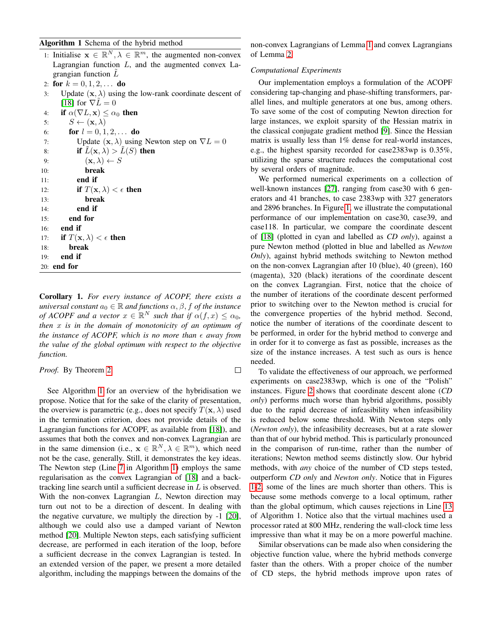# Algorithm 1 Schema of the hybrid method

|     | $\boldsymbol{\mathsf{H}}$ and $\boldsymbol{\mathsf{H}}$ are not all $\boldsymbol{\mathsf{H}}$ and $\boldsymbol{\mathsf{H}}$ and $\boldsymbol{\mathsf{H}}$ and $\boldsymbol{\mathsf{H}}$ |
|-----|-----------------------------------------------------------------------------------------------------------------------------------------------------------------------------------------|
|     | 1: Initialise $\mathbf{x} \in \mathbb{R}^N, \lambda \in \mathbb{R}^m$ , the augmented non-convex                                                                                        |
|     | Lagrangian function $L$ , and the augmented convex La-                                                                                                                                  |
|     | grangian function $L$                                                                                                                                                                   |
|     | 2: for $k = 0, 1, 2, \ldots$ do                                                                                                                                                         |
| 3:  | Update $(x, \lambda)$ using the low-rank coordinate descent of                                                                                                                          |
|     | [18] for $\nabla L = 0$                                                                                                                                                                 |
|     | 4: if $\alpha(\nabla L, \mathbf{x}) \leq \alpha_0$ then                                                                                                                                 |
|     | $S \leftarrow (\mathbf{x}, \lambda)$<br>5:                                                                                                                                              |
|     | for $l = 0, 1, 2, \ldots$ do<br>6:                                                                                                                                                      |
| 7:  | Update $(\mathbf{x}, \lambda)$ using Newton step on $\nabla L = 0$                                                                                                                      |
| 8:  | if $L(\mathbf{x}, \lambda) > L(S)$ then                                                                                                                                                 |
| 9:  | $(\mathbf{x}, \lambda) \leftarrow S$                                                                                                                                                    |
| 10: | break                                                                                                                                                                                   |
| 11: | end if                                                                                                                                                                                  |
| 12: | if $T(\mathbf{x}, \lambda) < \epsilon$ then                                                                                                                                             |
| 13: | break                                                                                                                                                                                   |
| 14: | end if                                                                                                                                                                                  |
| 15: | end for                                                                                                                                                                                 |
|     | 16: <b>end if</b>                                                                                                                                                                       |
|     | 17: if $T(\mathbf{x}, \lambda) < \epsilon$ then                                                                                                                                         |
| 18: | break                                                                                                                                                                                   |
| 19: | end if                                                                                                                                                                                  |
|     | 20: <b>end for</b>                                                                                                                                                                      |
|     |                                                                                                                                                                                         |

Corollary 1. *For every instance of ACOPF, there exists a universal constant*  $a_0 \in \mathbb{R}$  *and functions*  $\alpha, \beta, f$  *of the instance of ACOPF and a vector*  $x \in \mathbb{R}^N$  *such that if*  $\alpha(f, x) \leq \alpha_0$ *, then* x *is in the domain of monotonicity of an optimum of the instance of ACOPF, which is no more than*  $\epsilon$  *away from the value of the global optimum with respect to the objective function.*

 $\Box$ 

## *Proof.* By Theorem 2.

See Algorithm 1 for an overview of the hybridisation we propose. Notice that for the sake of the clarity of presentation, the overview is parametric (e.g., does not specify  $T(\mathbf{x}, \lambda)$ ) used in the termination criterion, does not provide details of the Lagrangian functions for ACOPF, as available from [18]), and assumes that both the convex and non-convex Lagrangian are in the same dimension (i.e.,  $\mathbf{x} \in \mathbb{R}^N, \lambda \in \mathbb{R}^m$ ), which need not be the case, generally. Still, it demonstrates the key ideas. The Newton step (Line 7 in Algorithm 1) employs the same regularisation as the convex Lagrangian of [18] and a backtracking line search until a sufficient decrease in  $L$  is observed. With the non-convex Lagrangian  $L$ , Newton direction may turn out not to be a direction of descent. In dealing with the negative curvature, we multiply the direction by -1 [20], although we could also use a damped variant of Newton method [20]. Multiple Newton steps, each satisfying sufficient decrease, are performed in each iteration of the loop, before a sufficient decrease in the convex Lagrangian is tested. In an extended version of the paper, we present a more detailed algorithm, including the mappings between the domains of the

non-convex Lagrangians of Lemma 1 and convex Lagrangians of Lemma 2.

## *Computational Experiments*

Our implementation employs a formulation of the ACOPF considering tap-changing and phase-shifting transformers, parallel lines, and multiple generators at one bus, among others. To save some of the cost of computing Newton direction for large instances, we exploit sparsity of the Hessian matrix in the classical conjugate gradient method [9]. Since the Hessian matrix is usually less than 1% dense for real-world instances, e.g., the highest sparsity recorded for case2383wp is 0.35%, utilizing the sparse structure reduces the computational cost by several orders of magnitude.

We performed numerical experiments on a collection of well-known instances [27], ranging from case30 with 6 generators and 41 branches, to case 2383wp with 327 generators and 2896 branches. In Figure 1, we illustrate the computational performance of our implementation on case30, case39, and case118. In particular, we compare the coordinate descent of [18] (plotted in cyan and labelled as *CD only*), against a pure Newton method (plotted in blue and labelled as *Newton Only*), against hybrid methods switching to Newton method on the non-convex Lagrangian after 10 (blue), 40 (green), 160 (magenta), 320 (black) iterations of the coordinate descent on the convex Lagrangian. First, notice that the choice of the number of iterations of the coordinate descent performed prior to switching over to the Newton method is crucial for the convergence properties of the hybrid method. Second, notice the number of iterations of the coordinate descent to be performed, in order for the hybrid method to converge and in order for it to converge as fast as possible, increases as the size of the instance increases. A test such as ours is hence needed.

To validate the effectiveness of our approach, we performed experiments on case2383wp, which is one of the "Polish" instances. Figure 2 shows that coordinate descent alone (*CD only*) performs much worse than hybrid algorithms, possibly due to the rapid decrease of infeasibility when infeasibility is reduced below some threshold. With Newton steps only (*Newton only*), the infeasibility decreases, but at a rate slower than that of our hybrid method. This is particularly pronounced in the comparison of run-time, rather than the number of iterations; Newton method seems distinctly slow. Our hybrid methods, with *any* choice of the number of CD steps tested, outperform *CD only* and *Newton only*. Notice that in Figures 1-2, some of the lines are much shorter than others. This is because some methods converge to a local optimum, rather than the global optimum, which causes rejections in Line 13 of Algorithm 1. Notice also that the virtual machines used a processor rated at 800 MHz, rendering the wall-clock time less impressive than what it may be on a more powerful machine.

Similar observations can be made also when considering the objective function value, where the hybrid methods converge faster than the others. With a proper choice of the number of CD steps, the hybrid methods improve upon rates of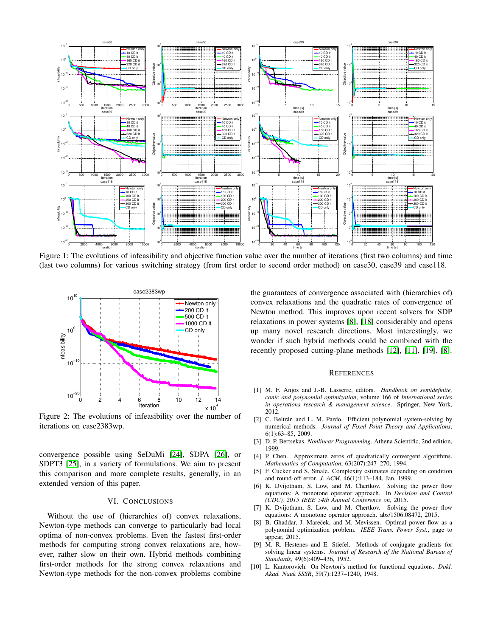

Figure 1: The evolutions of infeasibility and objective function value over the number of iterations (first two columns) and time (last two columns) for various switching strategy (from first order to second order method) on case30, case39 and case118.



Figure 2: The evolutions of infeasibility over the number of iterations on case2383wp.

convergence possible using SeDuMi [24], SDPA [26], or SDPT3 [25], in a variety of formulations. We aim to present this comparison and more complete results, generally, in an extended version of this paper.

# VI. CONCLUSIONS

Without the use of (hierarchies of) convex relaxations, Newton-type methods can converge to particularly bad local optima of non-convex problems. Even the fastest first-order methods for computing strong convex relaxations are, however, rather slow on their own. Hybrid methods combining first-order methods for the strong convex relaxations and Newton-type methods for the non-convex problems combine

the guarantees of convergence associated with (hierarchies of) convex relaxations and the quadratic rates of convergence of Newton method. This improves upon recent solvers for SDP relaxations in power systems [8], [18] considerably and opens up many novel research directions. Most interestingly, we wonder if such hybrid methods could be combined with the recently proposed cutting-plane methods [12], [11], [19], [8].

#### **REFERENCES**

- [1] M. F. Anjos and J.-B. Lasserre, editors. *Handbook on semidefinite, conic and polynomial optimization*, volume 166 of *International series in operations research & management science*. Springer, New York, 2012.
- [2] C. Beltrán and L. M. Pardo. Efficient polynomial system-solving by numerical methods. *Journal of Fixed Point Theory and Applications*, 6(1):63–85, 2009.
- [3] D. P. Bertsekas. *Nonlinear Programming*. Athena Scientific, 2nd edition, 1999.
- [4] P. Chen. Approximate zeros of quadratically convergent algorithms. *Mathematics of Computation*, 63(207):247–270, 1994.
- [5] F. Cucker and S. Smale. Complexity estimates depending on condition and round-off error. *J. ACM*, 46(1):113–184, Jan. 1999.
- [6] K. Dvijotham, S. Low, and M. Chertkov. Solving the power flow equations: A monotone operator approach. In *Decision and Control (CDC), 2015 IEEE 54th Annual Conference on*, 2015.
- [7] K. Dvijotham, S. Low, and M. Chertkov. Solving the power flow equations: A monotone operator approach. abs/1506.08472, 2015.
- [8] B. Ghaddar, J. Mareček, and M. Mevissen. Optimal power flow as a polynomial optimization problem. *IEEE Trans. Power Syst.*, page to appear, 2015.
- [9] M. R. Hestenes and E. Stiefel. Methods of conjugate gradients for solving linear systems. *Journal of Research of the National Bureau of Standards*, 49(6):409–436, 1952.
- [10] L. Kantorovich. On Newton's method for functional equations. *Dokl. Akad. Nauk SSSR*, 59(7):1237–1240, 1948.